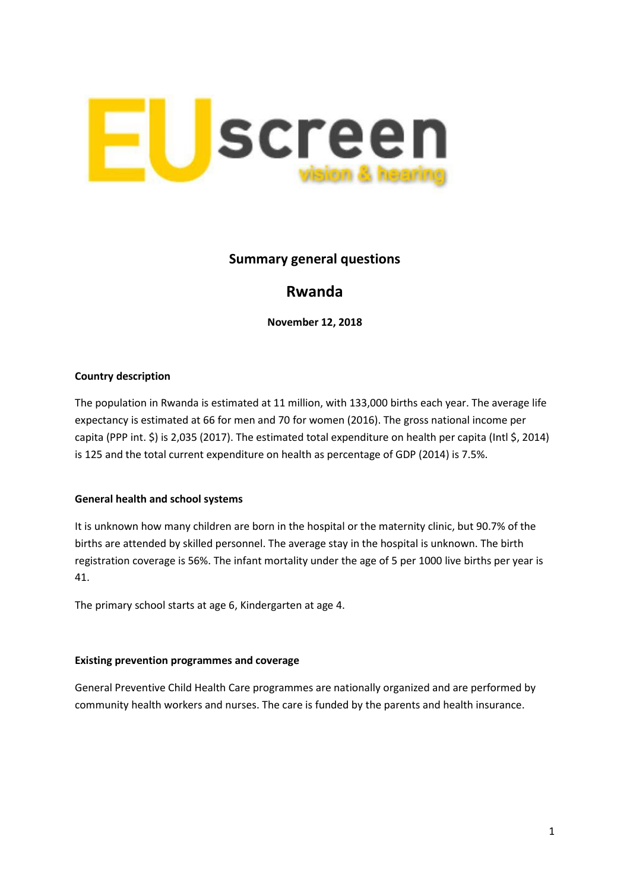

## **Summary general questions**

# **Rwanda**

**November 12, 2018**

### **Country description**

The population in Rwanda is estimated at 11 million, with 133,000 births each year. The average life expectancy is estimated at 66 for men and 70 for women (2016). The gross national income per capita (PPP int. \$) is 2,035 (2017). The estimated total expenditure on health per capita (Intl \$, 2014) is 125 and the total current expenditure on health as percentage of GDP (2014) is 7.5%.

### **General health and school systems**

It is unknown how many children are born in the hospital or the maternity clinic, but 90.7% of the births are attended by skilled personnel. The average stay in the hospital is unknown. The birth registration coverage is 56%. The infant mortality under the age of 5 per 1000 live births per year is 41.

The primary school starts at age 6, Kindergarten at age 4.

#### **Existing prevention programmes and coverage**

General Preventive Child Health Care programmes are nationally organized and are performed by community health workers and nurses. The care is funded by the parents and health insurance.